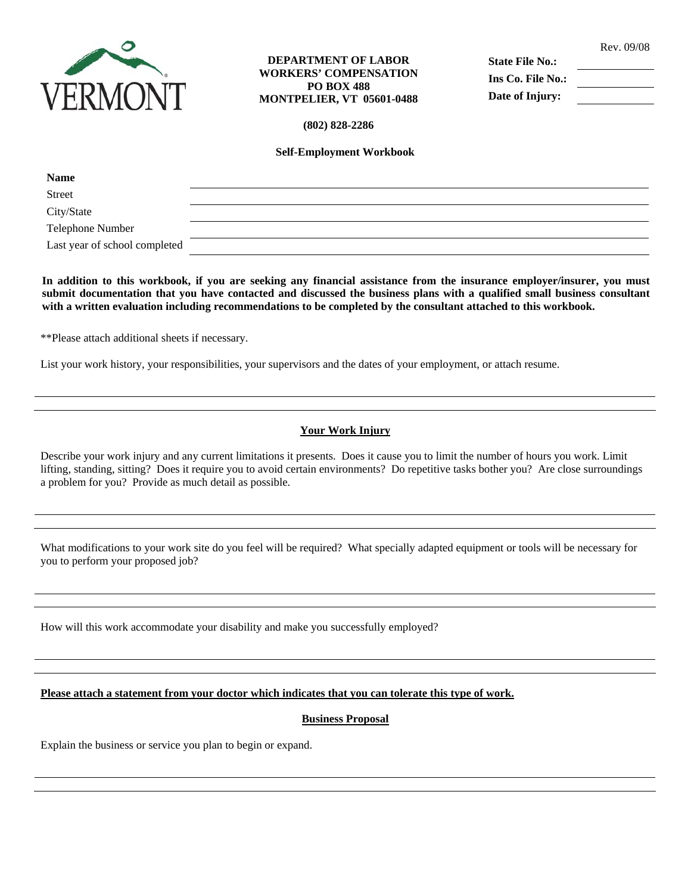

### **DEPARTMENT OF LABOR WORKERS' COMPENSATION PO BOX 488 MONTPELIER, VT 05601-0488**

**State File No.: Ins Co. File No.: Date of Injury:** 

**(802) 828-2286** 

**Self-Employment Workbook** 

| <b>Name</b>                   |  |
|-------------------------------|--|
| Street                        |  |
| City/State                    |  |
| Telephone Number              |  |
| Last year of school completed |  |

**In addition to this workbook, if you are seeking any financial assistance from the insurance employer/insurer, you must submit documentation that you have contacted and discussed the business plans with a qualified small business consultant with a written evaluation including recommendations to be completed by the consultant attached to this workbook.** 

\*\*Please attach additional sheets if necessary.

List your work history, your responsibilities, your supervisors and the dates of your employment, or attach resume.

# **Your Work Injury**

Describe your work injury and any current limitations it presents. Does it cause you to limit the number of hours you work. Limit lifting, standing, sitting? Does it require you to avoid certain environments? Do repetitive tasks bother you? Are close surroundings a problem for you? Provide as much detail as possible.

What modifications to your work site do you feel will be required? What specially adapted equipment or tools will be necessary for you to perform your proposed job?

How will this work accommodate your disability and make you successfully employed?

### **Please attach a statement from your doctor which indicates that you can tolerate this type of work.**

### **Business Proposal**

Explain the business or service you plan to begin or expand.

Rev. 09/08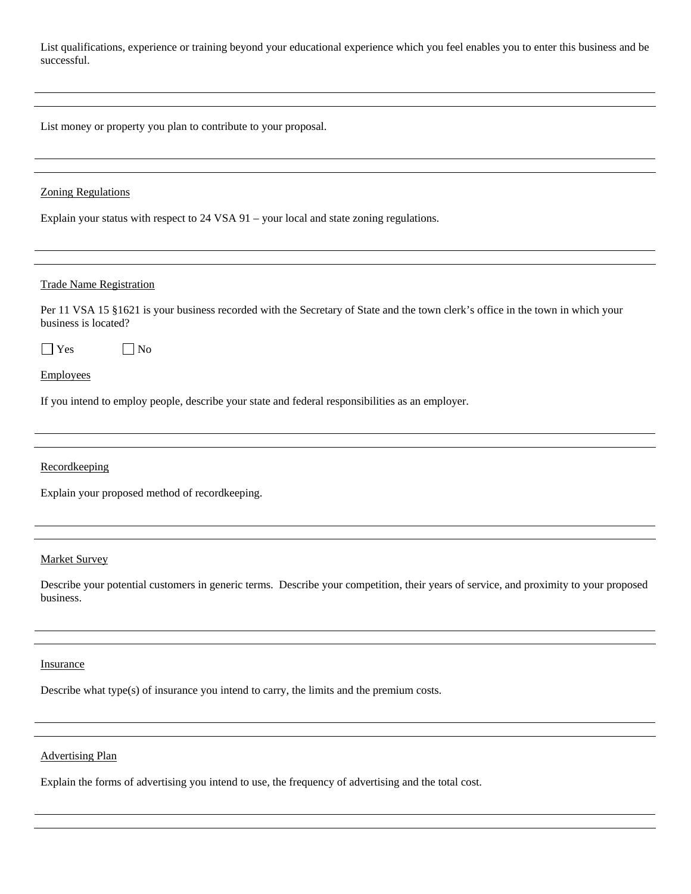List qualifications, experience or training beyond your educational experience which you feel enables you to enter this business and be successful.

List money or property you plan to contribute to your proposal.

#### Zoning Regulations

Explain your status with respect to 24 VSA 91 – your local and state zoning regulations.

#### Trade Name Registration

Per 11 VSA 15 §1621 is your business recorded with the Secretary of State and the town clerk's office in the town in which your business is located?

No No

Employees

If you intend to employ people, describe your state and federal responsibilities as an employer.

Recordkeeping

Explain your proposed method of recordkeeping.

#### Market Survey

Describe your potential customers in generic terms. Describe your competition, their years of service, and proximity to your proposed business.

#### **Insurance**

Describe what type(s) of insurance you intend to carry, the limits and the premium costs.

# Advertising Plan

Explain the forms of advertising you intend to use, the frequency of advertising and the total cost.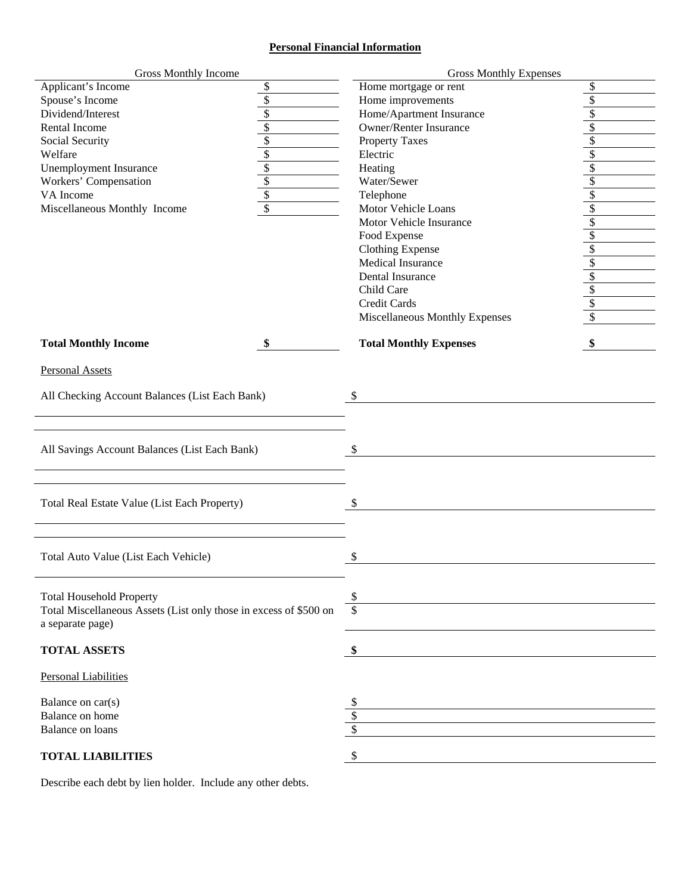# **Personal Financial Information**

| <b>Gross Monthly Income</b>                                       |                         | <b>Gross Monthly Expenses</b>  |                          |
|-------------------------------------------------------------------|-------------------------|--------------------------------|--------------------------|
| Applicant's Income                                                | \$                      | Home mortgage or rent          | \$                       |
| Spouse's Income                                                   | \$                      | Home improvements              | \$                       |
| Dividend/Interest                                                 | \$                      | Home/Apartment Insurance       | \$                       |
| Rental Income                                                     | \$                      | <b>Owner/Renter Insurance</b>  | \$                       |
| Social Security                                                   | $\sqrt{2}$              | <b>Property Taxes</b>          | $\sqrt{\frac{2}{3}}$     |
| Welfare                                                           | $\overline{\$}$         | Electric                       | $\sqrt{\frac{2}{3}}$     |
| <b>Unemployment Insurance</b>                                     | $\overline{\$}$         | Heating                        | \$                       |
| Workers' Compensation                                             | $\sqrt{2}$              | Water/Sewer                    | $\sqrt{\frac{2}{3}}$     |
| VA Income                                                         | $\sqrt[6]{\frac{1}{2}}$ | Telephone                      | $\sqrt{\ }$              |
| Miscellaneous Monthly Income                                      | $\overline{\$}$         | Motor Vehicle Loans            | $\sqrt{\ }$              |
|                                                                   |                         | Motor Vehicle Insurance        | $\sqrt{\ }$              |
|                                                                   |                         | Food Expense                   | \$                       |
|                                                                   |                         | <b>Clothing Expense</b>        | \$                       |
|                                                                   |                         | Medical Insurance              | $\overline{\mathcal{L}}$ |
|                                                                   |                         | Dental Insurance               | $\frac{\$}{\$}$          |
|                                                                   |                         | Child Care                     |                          |
|                                                                   |                         | <b>Credit Cards</b>            |                          |
|                                                                   |                         | Miscellaneous Monthly Expenses | $\overline{\mathcal{S}}$ |
| <b>Total Monthly Income</b>                                       | \$                      | <b>Total Monthly Expenses</b>  | \$                       |
|                                                                   |                         |                                |                          |
| <b>Personal Assets</b>                                            |                         |                                |                          |
| All Checking Account Balances (List Each Bank)                    |                         | \$                             |                          |
|                                                                   |                         |                                |                          |
|                                                                   |                         |                                |                          |
|                                                                   |                         |                                |                          |
| All Savings Account Balances (List Each Bank)                     |                         | \$                             |                          |
|                                                                   |                         |                                |                          |
|                                                                   |                         |                                |                          |
|                                                                   |                         |                                |                          |
| Total Real Estate Value (List Each Property)                      |                         | \$                             |                          |
|                                                                   |                         |                                |                          |
|                                                                   |                         |                                |                          |
| Total Auto Value (List Each Vehicle)                              |                         | \$                             |                          |
|                                                                   |                         |                                |                          |
|                                                                   |                         |                                |                          |
| <b>Total Household Property</b>                                   |                         | \$                             |                          |
| Total Miscellaneous Assets (List only those in excess of \$500 on |                         | $\overline{\mathbb{S}}$        |                          |
| a separate page)                                                  |                         |                                |                          |
|                                                                   |                         |                                |                          |
| <b>TOTAL ASSETS</b>                                               |                         | \$                             |                          |
| Personal Liabilities                                              |                         |                                |                          |
|                                                                   |                         |                                |                          |
| Balance on car(s)<br>Balance on home                              |                         | \$<br>\$                       |                          |
| <b>Balance on loans</b>                                           |                         |                                |                          |
|                                                                   |                         |                                |                          |
| <b>TOTAL LIABILITIES</b>                                          |                         | \$                             |                          |

Describe each debt by lien holder. Include any other debts.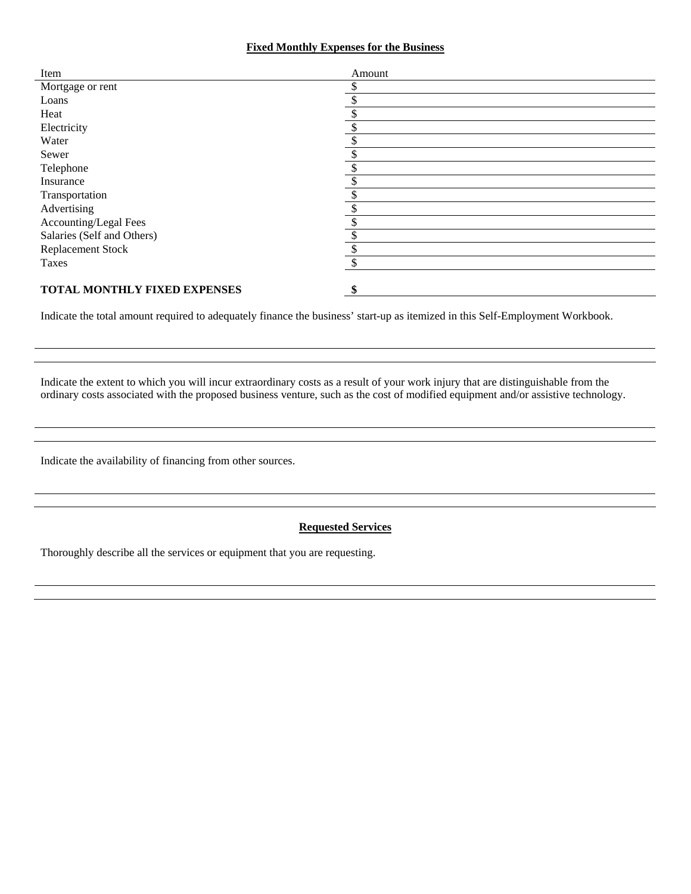### **Fixed Monthly Expenses for the Business**

| Item                         | Amount |
|------------------------------|--------|
| Mortgage or rent             |        |
| Loans                        |        |
| Heat                         |        |
| Electricity                  |        |
| Water                        |        |
| Sewer                        |        |
| Telephone                    |        |
| Insurance                    |        |
| Transportation               |        |
| Advertising                  |        |
| Accounting/Legal Fees        |        |
| Salaries (Self and Others)   | Φ      |
| <b>Replacement Stock</b>     |        |
| Taxes                        |        |
|                              |        |
| TOTAL MONTHLY FIXED EXPENSES | \$     |

Indicate the total amount required to adequately finance the business' start-up as itemized in this Self-Employment Workbook.

Indicate the extent to which you will incur extraordinary costs as a result of your work injury that are distinguishable from the ordinary costs associated with the proposed business venture, such as the cost of modified equipment and/or assistive technology.

Indicate the availability of financing from other sources.

# **Requested Services**

Thoroughly describe all the services or equipment that you are requesting.